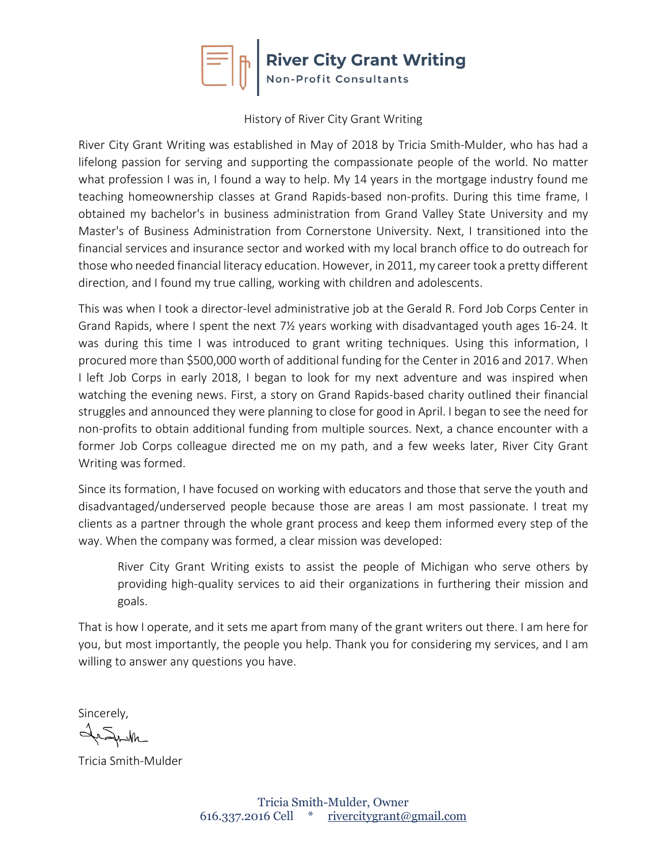

#### History of River City Grant Writing

River City Grant Writing was established in May of 2018 by Tricia Smith-Mulder, who has had a lifelong passion for serving and supporting the compassionate people of the world. No matter what profession I was in, I found a way to help. My 14 years in the mortgage industry found me teaching homeownership classes at Grand Rapids-based non-profits. During this time frame, I obtained my bachelor's in business administration from Grand Valley State University and my Master's of Business Administration from Cornerstone University. Next, I transitioned into the financial services and insurance sector and worked with my local branch office to do outreach for those who needed financial literacy education. However, in 2011, my career took a pretty different direction, and I found my true calling, working with children and adolescents.

This was when I took a director-level administrative job at the Gerald R. Ford Job Corps Center in Grand Rapids, where I spent the next 7½ years working with disadvantaged youth ages 16-24. It was during this time I was introduced to grant writing techniques. Using this information, I procured more than \$500,000 worth of additional funding for the Center in 2016 and 2017. When I left Job Corps in early 2018, I began to look for my next adventure and was inspired when watching the evening news. First, a story on Grand Rapids-based charity outlined their financial struggles and announced they were planning to close for good in April. I began to see the need for non-profits to obtain additional funding from multiple sources. Next, a chance encounter with a former Job Corps colleague directed me on my path, and a few weeks later, River City Grant Writing was formed.

Since its formation, I have focused on working with educators and those that serve the youth and disadvantaged/underserved people because those are areas I am most passionate. I treat my clients as a partner through the whole grant process and keep them informed every step of the way. When the company was formed, a clear mission was developed:

River City Grant Writing exists to assist the people of Michigan who serve others by providing high-quality services to aid their organizations in furthering their mission and goals.

That is how I operate, and it sets me apart from many of the grant writers out there. I am here for you, but most importantly, the people you help. Thank you for considering my services, and I am willing to answer any questions you have.

Sincerely,

JeSneth

Tricia Smith-Mulder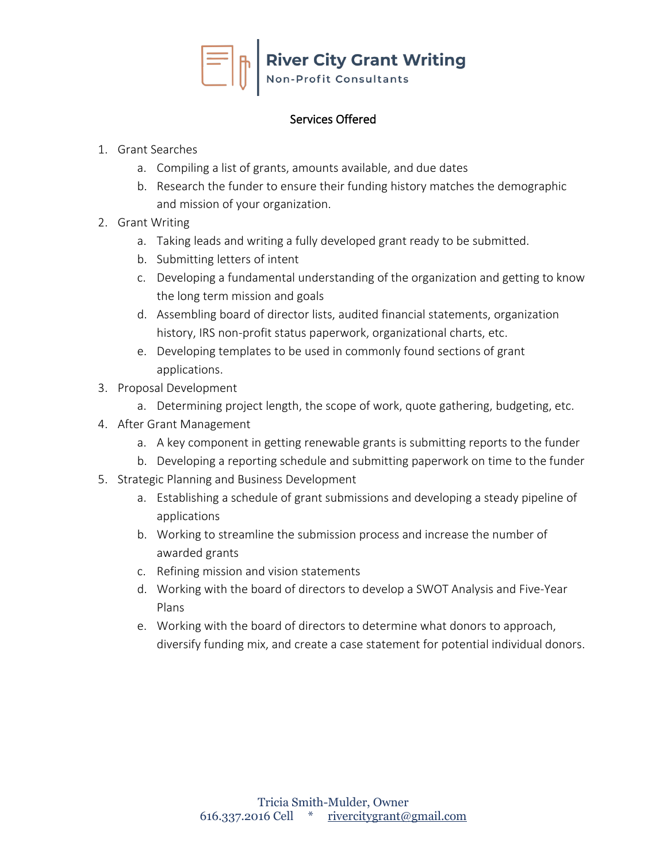

### Services Offered

## 1. Grant Searches

- a. Compiling a list of grants, amounts available, and due dates
- b. Research the funder to ensure their funding history matches the demographic and mission of your organization.
- 2. Grant Writing
	- a. Taking leads and writing a fully developed grant ready to be submitted.
	- b. Submitting letters of intent
	- c. Developing a fundamental understanding of the organization and getting to know the long term mission and goals
	- d. Assembling board of director lists, audited financial statements, organization history, IRS non-profit status paperwork, organizational charts, etc.
	- e. Developing templates to be used in commonly found sections of grant applications.
- 3. Proposal Development
	- a. Determining project length, the scope of work, quote gathering, budgeting, etc.
- 4. After Grant Management
	- a. A key component in getting renewable grants is submitting reports to the funder
	- b. Developing a reporting schedule and submitting paperwork on time to the funder
- 5. Strategic Planning and Business Development
	- a. Establishing a schedule of grant submissions and developing a steady pipeline of applications
	- b. Working to streamline the submission process and increase the number of awarded grants
	- c. Refining mission and vision statements
	- d. Working with the board of directors to develop a SWOT Analysis and Five-Year Plans
	- e. Working with the board of directors to determine what donors to approach, diversify funding mix, and create a case statement for potential individual donors.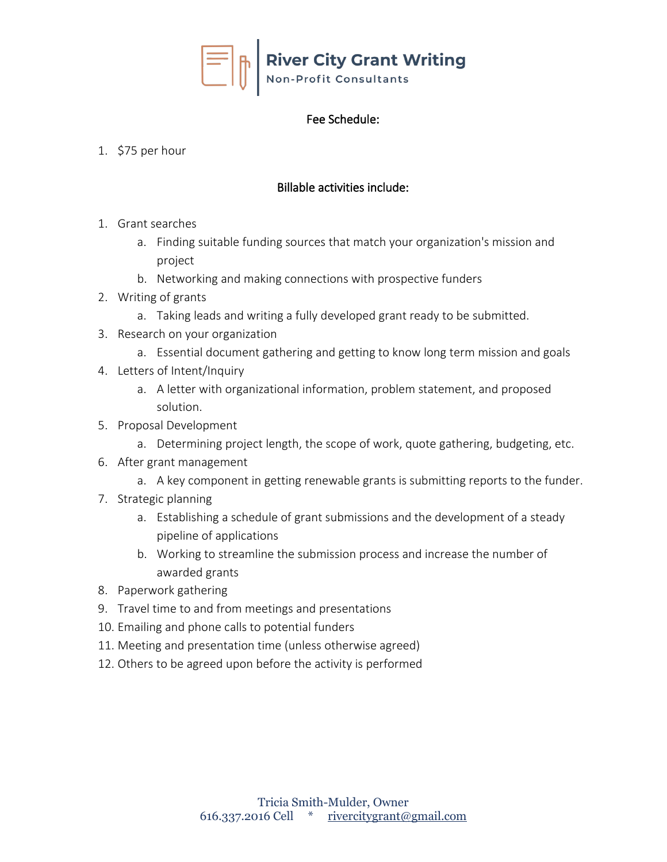

# Fee Schedule:

## 1. \$75 per hour

# Billable activities include:

- 1. Grant searches
	- a. Finding suitable funding sources that match your organization's mission and project
	- b. Networking and making connections with prospective funders
- 2. Writing of grants
	- a. Taking leads and writing a fully developed grant ready to be submitted.
- 3. Research on your organization
	- a. Essential document gathering and getting to know long term mission and goals
- 4. Letters of Intent/Inquiry
	- a. A letter with organizational information, problem statement, and proposed solution.
- 5. Proposal Development
	- a. Determining project length, the scope of work, quote gathering, budgeting, etc.
- 6. After grant management
	- a. A key component in getting renewable grants is submitting reports to the funder.
- 7. Strategic planning
	- a. Establishing a schedule of grant submissions and the development of a steady pipeline of applications
	- b. Working to streamline the submission process and increase the number of awarded grants
- 8. Paperwork gathering
- 9. Travel time to and from meetings and presentations
- 10. Emailing and phone calls to potential funders
- 11. Meeting and presentation time (unless otherwise agreed)
- 12. Others to be agreed upon before the activity is performed